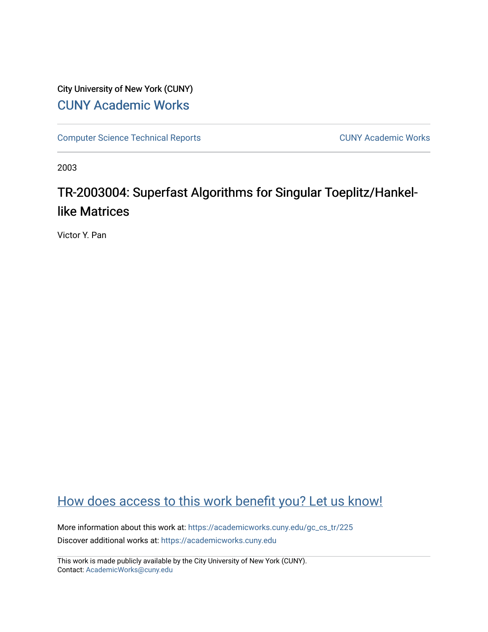# City University of New York (CUNY) [CUNY Academic Works](https://academicworks.cuny.edu/)

[Computer Science Technical Reports](https://academicworks.cuny.edu/gc_cs_tr) **CUNY Academic Works** CUNY Academic Works

2003

# TR-2003004: Superfast Algorithms for Singular Toeplitz/Hankellike Matrices

Victor Y. Pan

# [How does access to this work benefit you? Let us know!](http://ols.cuny.edu/academicworks/?ref=https://academicworks.cuny.edu/gc_cs_tr/225)

More information about this work at: [https://academicworks.cuny.edu/gc\\_cs\\_tr/225](https://academicworks.cuny.edu/gc_cs_tr/225)  Discover additional works at: [https://academicworks.cuny.edu](https://academicworks.cuny.edu/?)

This work is made publicly available by the City University of New York (CUNY). Contact: [AcademicWorks@cuny.edu](mailto:AcademicWorks@cuny.edu)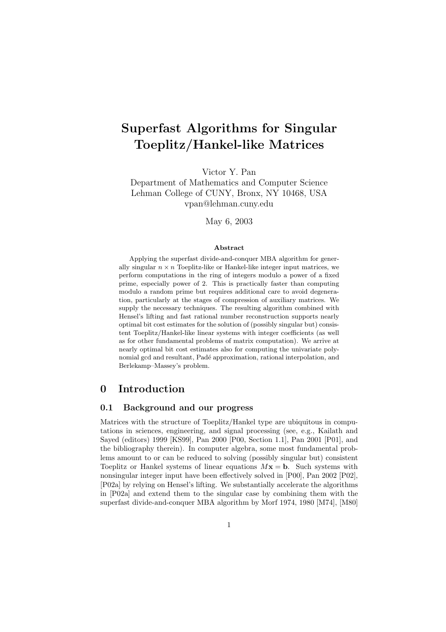# **Superfast Algorithms for Singular Toeplitz/Hankel-like Matrices**

Victor Y. Pan

Department of Mathematics and Computer Science Lehman College of CUNY, Bronx, NY 10468, USA vpan@lehman.cuny.edu

May 6, 2003

#### **Abstract**

Applying the superfast divide-and-conquer MBA algorithm for generally singular  $n \times n$  Toeplitz-like or Hankel-like integer input matrices, we perform computations in the ring of integers modulo a power of a fixed prime, especially power of 2. This is practically faster than computing modulo a random prime but requires additional care to avoid degeneration, particularly at the stages of compression of auxiliary matrices. We supply the necessary techniques. The resulting algorithm combined with Hensel's lifting and fast rational number reconstruction supports nearly optimal bit cost estimates for the solution of (possibly singular but) consistent Toeplitz/Hankel-like linear systems with integer coefficients (as well as for other fundamental problems of matrix computation). We arrive at nearly optimal bit cost estimates also for computing the univariate polynomial gcd and resultant, Padé approximation, rational interpolation, and Berlekamp–Massey's problem.

### **0 Introduction**

#### **0.1 Background and our progress**

Matrices with the structure of Toeplitz/Hankel type are ubiquitous in computations in sciences, engineering, and signal processing (see, e.g., Kailath and Sayed (editors) 1999 [KS99], Pan 2000 [P00, Section 1.1], Pan 2001 [P01], and the bibliography therein). In computer algebra, some most fundamental problems amount to or can be reduced to solving (possibly singular but) consistent Toeplitz or Hankel systems of linear equations  $Mx = b$ . Such systems with nonsingular integer input have been effectively solved in [P00], Pan 2002 [P02], [P02a] by relying on Hensel's lifting. We substantially accelerate the algorithms in [P02a] and extend them to the singular case by combining them with the superfast divide-and-conquer MBA algorithm by Morf 1974, 1980 [M74], [M80]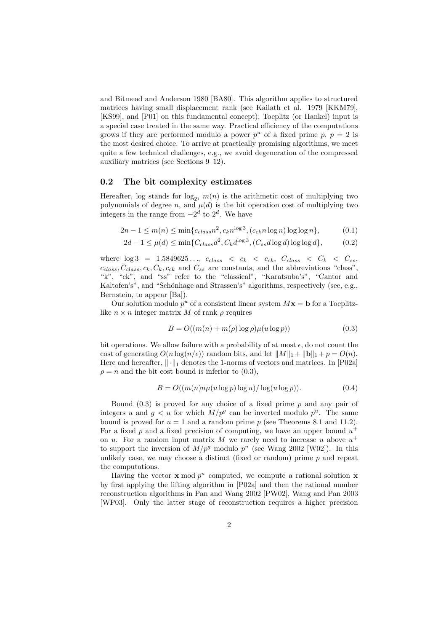and Bitmead and Anderson 1980 [BA80]. This algorithm applies to structured matrices having small displacement rank (see Kailath et al. 1979 [KKM79], [KS99], and [P01] on this fundamental concept); Toeplitz (or Hankel) input is a special case treated in the same way. Practical efficiency of the computations grows if they are performed modulo a power  $p^u$  of a fixed prime p,  $p = 2$  is the most desired choice. To arrive at practically promising algorithms, we meet quite a few technical challenges, e.g., we avoid degeneration of the compressed auxiliary matrices (see Sections 9–12).

#### **0.2 The bit complexity estimates**

Hereafter, log stands for  $log_2$ ,  $m(n)$  is the arithmetic cost of multiplying two<br>polynomials of dorso  $n$ , and  $u(d)$  is the bit operation cost of multiplying two polynomials of degree n, and  $\mu(d)$  is the bit operation cost of multiplying two integers in the range from  $-2^d$  to  $2^d$ . We have

$$
2n - 1 \le m(n) \le \min\{c_{class}n^2, c_kn^{\log 3}, (c_{ck}n\log n)\log\log n\},\tag{0.1}
$$

$$
2d - 1 \le \mu(d) \le \min\{C_{class}d^2, C_k d^{\log 3}, (C_{ss}d \log d) \log \log d\},\tag{0.2}
$$

where  $\log 3 = 1.5849625...$ ,  $c_{class} < c_k < c_{ck}$ ,  $C_{class} < C_k < C_{ss}$ ,  $c_{class}, C_{class}, c_k, C_k, c_{ck}$  and  $C_{ss}$  are constants, and the abbreviations "class", "k", "ck", and "ss" refer to the "classical", "Karatsuba's", "Cantor and Kaltofen's", and "Schönhage and Strassen's" algorithms, respectively (see, e.g., Bernstein, to appear [Ba]).

Our solution modulo  $p^u$  of a consistent linear system  $Mx = b$  for a Toeplitzlike  $n \times n$  integer matrix M of rank  $\rho$  requires

$$
B = O((m(n) + m(\rho) \log \rho)\mu(u \log p))
$$
\n(0.3)

bit operations. We allow failure with a probability of at most  $\epsilon$ , do not count the cost of generating  $O(n \log(n/\epsilon))$  random bits, and let  $||M||_1 + ||\mathbf{b}||_1 + p = O(n)$ . Here and hereafter,  $\|\cdot\|_1$  denotes the 1-norms of vectors and matrices. In [P02a]  $\rho = n$  and the bit cost bound is inferior to (0.3),

$$
B = O((m(n)n\mu(u\log p)\log u)/\log(u\log p)).
$$
\n(0.4)

Bound  $(0.3)$  is proved for any choice of a fixed prime p and any pair of integers u and  $g < u$  for which  $M/p^g$  can be inverted modulo  $p^u$ . The same bound is proved for  $u = 1$  and a random prime p (see Theorems 8.1 and 11.2). For a fixed p and a fixed precision of computing, we have an upper bound  $u^+$ on u. For a random input matrix M we rarely need to increase u above  $u^+$ to support the inversion of  $M/p^g$  modulo  $p^u$  (see Wang 2002 [W02]). In this unlikely case, we may choose a distinct (fixed or random) prime  $p$  and repeat the computations.

Having the vector **x** mod  $p^u$  computed, we compute a rational solution **x** by first applying the lifting algorithm in [P02a] and then the rational number reconstruction algorithms in Pan and Wang 2002 [PW02], Wang and Pan 2003 [WP03]. Only the latter stage of reconstruction requires a higher precision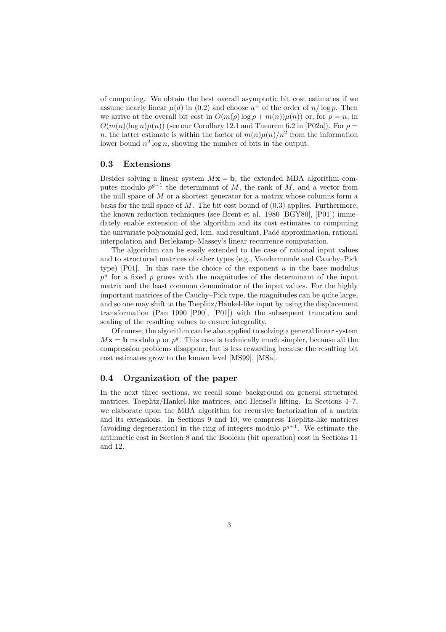of computing. We obtain the best overall asymptotic bit cost estimates if we assume nearly linear  $\mu(d)$  in (0.2) and choose  $u^+$  of the order of  $n/\log p$ . Then we arrive at the overall bit cost in  $O(m(\rho) \log \rho + m(n))\mu(n)$  or, for  $\rho = n$ , in  $O(m(n)(\log n)\mu(n))$  (see our Corollary 12.1 and Theorem 6.2 in [P02a]). For  $\rho =$ n, the latter estimate is within the factor of  $m(n)\mu(n)/n^2$  from the information lower bound  $n^2 \log n$ , showing the number of bits in the output.

#### **0.3 Extensions**

Besides solving a linear system  $Mx = b$ , the extended MBA algorithm computes modulo  $p^{g+1}$  the determinant of M, the rank of M, and a vector from the null space of  $M$  or a shortest generator for a matrix whose columns form a basis for the null space of  $M$ . The bit cost bound of  $(0.3)$  applies. Furthermore, the known reduction techniques (see Brent et al. 1980 [BGY80], [P01]) immedately enable extension of the algorithm and its cost estimates to computing the univariate polynomial gcd, lcm, and resultant, Padé approximation, rational interpolation and Berlekamp–Massey's linear recurrence computation.

The algorithm can be easily extended to the case of rational input values and to structured matrices of other types (e.g., Vandermonde and Cauchy–Pick type) [P01]. In this case the choice of the exponent  $u$  in the base modulus  $p^u$  for a fixed p grows with the magnitudes of the determinant of the input matrix and the least common denominator of the input values. For the highly important matrices of the Cauchy–Pick type, the magnitudes can be quite large, and so one may shift to the Toeplitz/Hankel-like input by using the displacement transformation (Pan 1990 [P90], [P01]) with the subsequent truncation and scaling of the resulting values to ensure integrality.

Of course, the algorithm can be also applied to solving a general linear system  $Mx = b$  modulo p or  $p<sup>g</sup>$ . This case is technically much simpler, because all the compression problems disappear, but is less rewarding because the resulting bit cost estimates grow to the known level [MS99], [MSa].

### **0.4 Organization of the paper**

In the next three sections, we recall some background on general structured matrices, Toeplitz/Hankel-like matrices, and Hensel's lifting. In Sections 4–7, we elaborate upon the MBA algorithm for recursive factorization of a matrix and its extensions. In Sections 9 and 10, we compress Toeplitz-like matrices (avoiding degeneration) in the ring of integers modulo  $p^{g+1}$ . We estimate the arithmetic cost in Section 8 and the Boolean (bit operation) cost in Sections 11 and 12.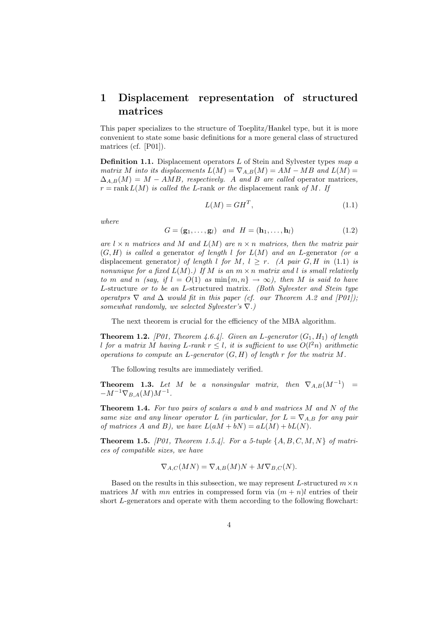## **1 Displacement representation of structured matrices**

This paper specializes to the structure of Toeplitz/Hankel type, but it is more convenient to state some basic definitions for a more general class of structured matrices (cf. [P01]).

**Definition 1.1.** Displacement operators <sup>L</sup> of Stein and Sylvester types *map a matrix* M *into its displacements*  $L(M) = \nabla_{A,B}(M) = AM - MB$  *and*  $L(M) =$  $\Delta_{A,B}(M) = M - AMB$ , respectively. A and B are called operator matrices,  $r = \text{rank } L(M)$  *is called the L*-rank *or the* displacement rank *of* M. If

$$
L(M) = GH^T,\t\t(1.1)
$$

*where*

$$
G = (\mathbf{g}_1, \dots, \mathbf{g}_l) \quad and \quad H = (\mathbf{h}_1, \dots, \mathbf{h}_l) \tag{1.2}
$$

*are*  $l \times n$  *matrices and* M *and*  $L(M)$  *are*  $n \times n$  *matrices, then the matrix pair* (G, H) *is called a* generator *of length* l *for* L(M) *and an* L-generator *(or a* displacement generator*)* of length l for M,  $l \geq r$ . (A pair G, H in (1.1) is *nonunique for a fixed*  $L(M)$ *.)* If M is an  $m \times n$  matrix and l is small relatively *to* m and n *(say, if*  $l = O(1)$  *as* min $\{m, n\} \rightarrow \infty$ *), then* M *is said to have* L-structure *or to be an* L-structured matrix*. (Both Sylvester and Stein type operatprs*  $\nabla$  *and*  $\Delta$  *would fit in this paper (cf. our Theorem A.2 and [P01]); somewhat randomly, we selected Sylvester's* ∇*.)*

The next theorem is crucial for the efficiency of the MBA algorithm.

**Theorem 1.2.** *[P01, Theorem 4.6.4]. Given an L-generator*  $(G_1, H_1)$  *of length l* for a matrix M having L-rank  $r \leq l$ , it is sufficient to use  $O(l^2n)$  arithmetic *operations to compute an* L*-generator* (G, H) *of length* r *for the matrix* M*.*

The following results are immediately verified.

**Theorem 1.3.** Let M be a nonsingular matrix, then  $\nabla_{A,B}(M^{-1})$  =  $-M^{-1}\nabla_{B,A}(M)M^{-1}.$ 

**Theorem 1.4.** *For two pairs of scalars* <sup>a</sup> *and* <sup>b</sup> *and matrices* <sup>M</sup> *and* <sup>N</sup> *of the same size and any linear operator* L *(in particular, for*  $L = \nabla_{A,B}$  *for any pair of matrices* A *and* B), we have  $L(aM + bN) = aL(M) + bL(N)$ .

**Theorem 1.5.** *[P01, Theorem 1.5.4]. For a 5-tuple* {A, B, C, M, N} *of matrices of compatible sizes, we have*

$$
\nabla_{A,C}(MN) = \nabla_{A,B}(M)N + M\nabla_{B,C}(N).
$$

Based on the results in this subsection, we may represent L-structured  $m \times n$ matrices M with mn entries in compressed form via  $(m + n)l$  entries of their short L-generators and operate with them according to the following flowchart: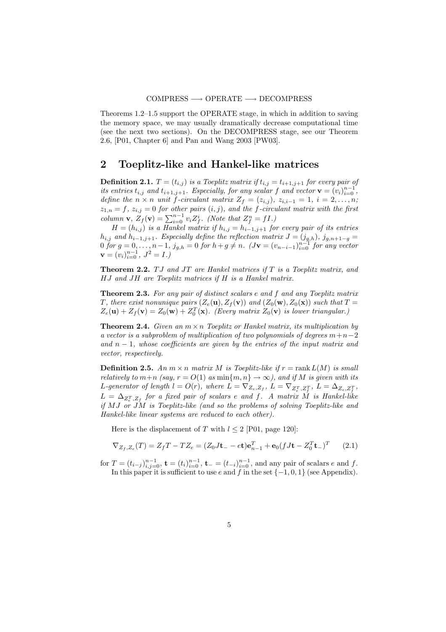Theorems 1.2–1.5 support the OPERATE stage, in which in addition to saving the memory space, we may usually dramatically decrease computational time (see the next two sections). On the DECOMPRESS stage, see our Theorem 2.6, [P01, Chapter 6] and Pan and Wang 2003 [PW03].

### **2 Toeplitz-like and Hankel-like matrices**

**Definition 2.1.**  $T = (t_{i,j})$  *is a Toeplitz matrix if*  $t_{i,j} = t_{i+1,j+1}$  *for every pair of its entries*  $t_{i,j}$  *and*  $t_{i+1,j+1}$ *. Especially, for any scalar* f *and* vector  $\mathbf{v} = (v_i)_{i=0}^{n-1}$ , define the  $n \times n$  *unit* f-circulary  $\mathbf{z}_i = (z_i)_{i \in \mathbb{Z}} \times \mathbf{z}_i$ ,  $i = 1, i = 2, \dots$ *define the*  $n \times n$  *unit*  $f$ -circulant matrix  $Z_f = (z_{i,j})$ ,  $z_{i,i-1} = 1$ ,  $i = 2,...,n$ ;  $z_{1,n} = f$ ,  $z_{i,j} = 0$  *for other pairs*  $(i, j)$ *, and the f-circulant matrix with the first column* **v**,  $Z_f(\mathbf{v}) = \sum_{i=0}^{n-1} v_i Z_f^i$ . (Note that  $Z_f^n = fI$ .)<br> $H - (h_{j-1})$  is a Hankel matrix if  $h_{j-1} = h_{j-1} \cup f_0$ 

 $H = (h_{i,j})$  *is a Hankel matrix if*  $h_{i,j} = h_{i-1,j+1}$  *for every pair of its entries*  $h_{i,j}$  and  $h_{i-1,j+1}$ *. Especially define the reflection matrix*  $J = (j_{g,h})$ *,*  $j_{g,n+1-g}$  $0 \text{ for } g = 0, \ldots, n-1, \ j_{g,h} = 0 \text{ for } h + g \neq n. \ \ (J\mathbf{v} = (v_{n-i-1})_{i=0}^{n-1} \text{ for any vector } v = (v_1, v_1, v_2, \ldots, v_{n-1}, \ j_{g,h} = 0 \text{ for } h + g \neq n.$  $\mathbf{v} = (v_i)_{i=0}^{n-1}, J^2 = I$ .)

**Theorem 2.2.** TJ and JT are Hankel matrices if T is a Toeplitz matrix, and HJ *and* JH *are Toeplitz matrices if* H *is a Hankel matrix.*

**Theorem 2.3.** *For any pair of distinct scalars* <sup>e</sup> *and* <sup>f</sup> *and any Toeplitz matrix* T, there exist nonunique pairs  $(Z_e(\mathbf{u}), Z_f(\mathbf{v}))$  and  $(Z_0(\mathbf{w}), Z_0(\mathbf{x}))$  such that  $T =$  $Z_e(\mathbf{u}) + Z_f(\mathbf{v}) = Z_0(\mathbf{w}) + Z_0^T(\mathbf{x})$ . (Every matrix  $Z_0(\mathbf{v})$  is lower triangular.)

**Theorem 2.4.** *Given an*  $m \times n$  *Toeplitz or Hankel matrix, its multiplication by a vector is a subproblem of multiplication of two polynomials of degrees* m+n−2 *and* n − 1*, whose coefficients are given by the entries of the input matrix and vector, respectively.*

**Definition 2.5.** An  $m \times n$  matrix M is Toeplitz-like if  $r = \text{rank } L(M)$  is small *relatively to*  $m+n$  *(say,*  $r = O(1)$  *as* min $\{m, n\} \to \infty$ *), and if* M *is given with its* L-generator of length  $l = O(r)$ , where  $L = \nabla_{Z_e, Z_f}$ ,  $L = \nabla_{Z_e^T, Z_f^T}$ ,  $L = \Delta_{Z_e, Z_f^T}$ ,  $L = \Delta_{Z_t^T, Z_f}$  for a fixed pair of scalars e and f. A matrix M is Hankel-like *if* M J *or* JM *is Toeplitz-like (and so the problems of solving Toeplitz-like and Hankel-like linear systems are reduced to each other).*

Here is the displacement of T with  $l \leq 2$  [P01, page 120]:

$$
\nabla_{Z_f, Z_e}(T) = Z_f T - T Z_e = (Z_0 J \mathbf{t}_- - e \mathbf{t}) \mathbf{e}_{n-1}^T + \mathbf{e}_0 (f J \mathbf{t} - Z_0^T \mathbf{t}_-)^T \qquad (2.1)
$$

for  $T = (t_{i-j})_{i,j=0}^{n-1}$ ,  $\mathbf{t} = (t_i)_{i=0}^{n-1}$ ,  $\mathbf{t}_{-} = (t_{-i})_{i=0}^{n-1}$ , and any pair of scalars e and f.<br>In this paper it is sufficient to use e and f in the set  $f_{-}1 \cdot 0 \cdot 11$  (see Appendix) In this paper it is sufficient to use e and f in the set  $\{-1, 0, 1\}$  (see Appendix).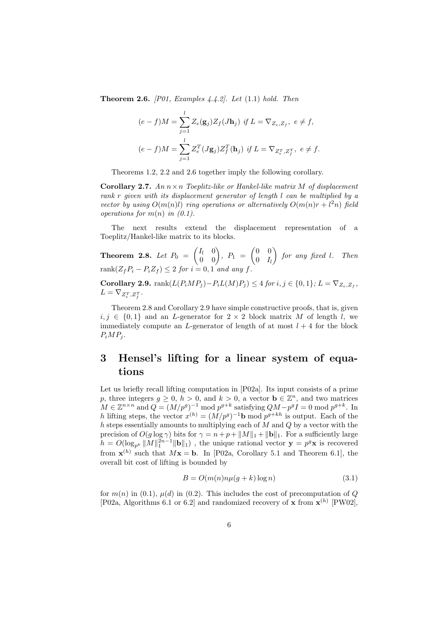**Theorem 2.6.** *[P01, Examples 4.4.2]. Let* (1.1) *hold. Then*

$$
(e - f)M = \sum_{j=1}^{l} Z_e(\mathbf{g}_j) Z_f(J\mathbf{h}_j) \text{ if } L = \nabla_{Z_e, Z_f}, e \neq f,
$$

$$
(e - f)M = \sum_{j=1}^{l} Z_e^T(J\mathbf{g}_j) Z_f^T(\mathbf{h}_j) \text{ if } L = \nabla_{Z_e^T, Z_f^T}, e \neq f.
$$

Theorems 1.2, 2.2 and 2.6 together imply the following corollary.

**Corollary 2.7.** *An* <sup>n</sup>×<sup>n</sup> *Toeplitz-like or Hankel-like matrix* <sup>M</sup> *of displacement rank* r *given with its displacement generator of length* l *can be multiplied by a vector by using*  $O(m(n)l)$  *ring operations or alternatively*  $O(m(n)r + l^2n)$  *field operations for* m(n) *in (0.1).*

The next results extend the displacement representation of a Toeplitz/Hankel-like matrix to its blocks.

**Theorem 2.8.** Let  $P_0 = \begin{pmatrix} I_l & 0 \ 0 & 0 \end{pmatrix}$ ,  $P_1 = \begin{pmatrix} 0 & 0 \ 0 & I_l \end{pmatrix}$  $0$   $I_l$  *for any fixed* l*. Then*  $rank(Z_fP_i - P_iZ_f) \leq 2$  *for*  $i = 0, 1$  *and any*  $f$ *.* 

**Corollary 2.9.**  $\text{rank}(L(P_iMP_j) - P_iL(M)P_j) \leq 4$  *for*  $i, j \in \{0, 1\}$ *;*  $L = \nabla_{Z_i, Z_f}$ *,*  $L = \nabla_{Z_e^T, Z_f^T}$ .

Theorem 2.8 and Corollary 2.9 have simple constructive proofs, that is, given  $i, j \in \{0, 1\}$  and an L-generator for  $2 \times 2$  block matrix M of length l, we immediately compute an L-generator of length of at most  $l + 4$  for the block  $P_iMP_i$ .

# **3 Hensel's lifting for a linear system of equations**

Let us briefly recall lifting computation in [P02a]. Its input consists of a prime p, three integers  $g \ge 0$ ,  $h > 0$ , and  $k > 0$ , a vector  $\mathbf{b} \in \mathbb{Z}^n$ , and two matrices  $M \in \mathbb{Z}^{n \times n}$  and  $Q = (M/p^g)^{-1}$  mod  $p^{g+k}$  satisfying  $QM - p^g I = 0$  mod  $p^{g+k}$ . In h lifting steps, the vector  $x^{(h)} = (M/p^g)^{-1}$ **b** mod  $p^{g+kh}$  is output. Each of the  $h$  steps essentially amounts to multiplying each of  $M$  and  $Q$  by a vector with the precision of  $O(g \log \gamma)$  bits for  $\gamma = n + p + ||M||_1 + ||\mathbf{b}||_1$ . For a sufficiently large  $h = O(\log_{p^k} ||M||_1^{2n-1} ||\mathbf{b}||_1)$ , the unique rational vector  $\mathbf{y} = p^g \mathbf{x}$  is recovered from  $\mathbf{x}^{(h)}$  such that  $M\mathbf{x} = \mathbf{b}$ . In [P02a, Corollary 5.1 and Theorem 6.1], the overall bit cost of lifting is bounded by

$$
B = O(m(n)n\mu(g+k)\log n)
$$
\n(3.1)

for  $m(n)$  in (0.1),  $\mu(d)$  in (0.2). This includes the cost of precomputation of Q [P02a, Algorithms 6.1 or 6.2] and randomized recovery of **x** from  $\mathbf{x}^{(h)}$  [PW02],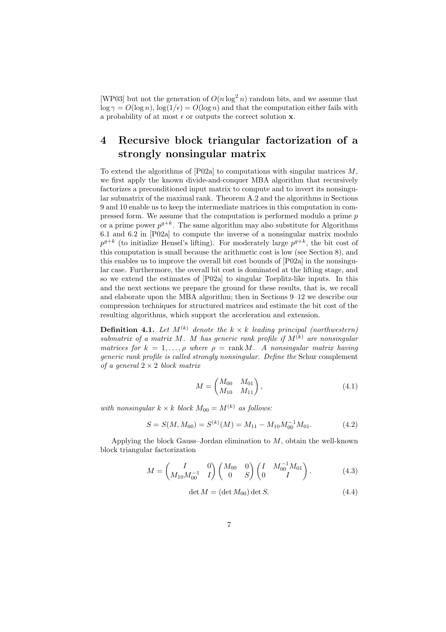[WP03] but not the generation of  $O(n \log^2 n)$  random bits, and we assume that  $\log \gamma = O(\log n)$ ,  $\log(1/\epsilon) = O(\log n)$  and that the computation either fails with a probability of at most  $\epsilon$  or outputs the correct solution **x**.

# **4 Recursive block triangular factorization of a strongly nonsingular matrix**

To extend the algorithms of  $[$ P02a $]$  to computations with singular matrices  $M$ , we first apply the known divide-and-conquer MBA algorithm that recursively factorizes a preconditioned input matrix to compute and to invert its nonsingular submatrix of the maximal rank. Theorem A.2 and the algorithms in Sections 9 and 10 enable us to keep the intermediate matrices in this computation in compressed form. We assume that the computation is performed modulo a prime p or a prime power  $p^{g+k}$ . The same algorithm may also substitute for Algorithms 6.1 and 6.2 in [P02a] to compute the inverse of a nonsingular matrix modulo  $p^{g+k}$  (to initialize Hensel's lifting). For moderately large  $p^{g+k}$ , the bit cost of this computation is small because the arithmetic cost is low (see Section 8), and this enables us to improve the overall bit cost bounds of [P02a] in the nonsingular case. Furthermore, the overall bit cost is dominated at the lifting stage, and so we extend the estimates of [P02a] to singular Toeplitz-like inputs. In this and the next sections we prepare the ground for these results, that is, we recall and elaborate upon the MBA algorithm; then in Sections 9–12 we describe our compression techniques for structured matrices and estimate the bit cost of the resulting algorithms, which support the acceleration and extension.

**Definition 4.1.** Let  $M^{(k)}$  denote the  $k \times k$  leading principal (northwestern) *submatrix of a matrix* M*.* M *has generic rank profile if* M(k) *are nonsingular matrices for*  $k = 1, \ldots, \rho$  *where*  $\rho = \text{rank } M$ . A nonsingular matrix having *generic rank profile is called strongly nonsingular. Define the* Schur complement *of a general* 2 × 2 *block matrix*

$$
M = \begin{pmatrix} M_{00} & M_{01} \\ M_{10} & M_{11} \end{pmatrix}, \tag{4.1}
$$

*with nonsingular*  $k \times k$  *block*  $M_{00} = M^{(k)}$  *as follows:* 

$$
S = S(M, M_{00}) = S^{(k)}(M) = M_{11} - M_{10}M_{00}^{-1}M_{01}.
$$
 (4.2)

Applying the block Gauss–Jordan elimination to  $M$ , obtain the well-known block triangular factorization

$$
M = \begin{pmatrix} I & 0 \\ M_{10} M_{00}^{-1} & I \end{pmatrix} \begin{pmatrix} M_{00} & 0 \\ 0 & S \end{pmatrix} \begin{pmatrix} I & M_{00}^{-1} M_{01} \\ 0 & I \end{pmatrix}.
$$
 (4.3)

$$
\det M = (\det M_{00}) \det S. \tag{4.4}
$$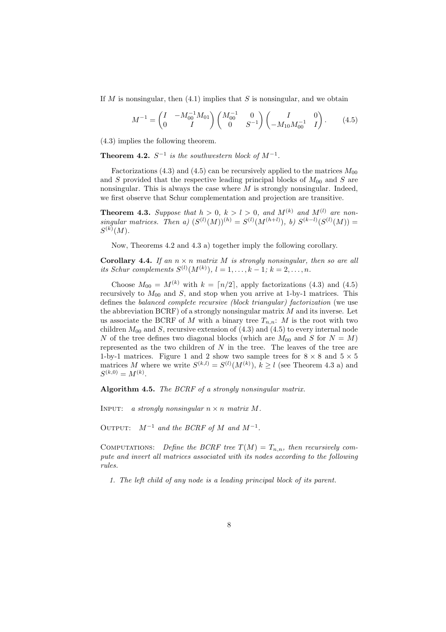If M is nonsingular, then  $(4.1)$  implies that S is nonsingular, and we obtain

$$
M^{-1} = \begin{pmatrix} I & -M_{00}^{-1} M_{01} \\ 0 & I \end{pmatrix} \begin{pmatrix} M_{00}^{-1} & 0 \\ 0 & S^{-1} \end{pmatrix} \begin{pmatrix} I & 0 \\ -M_{10} M_{00}^{-1} & I \end{pmatrix}.
$$
 (4.5)

(4.3) implies the following theorem.

**Theorem 4.2.**  $S^{-1}$  *is the southwestern block of*  $M^{-1}$ *.* 

Factorizations (4.3) and (4.5) can be recursively applied to the matrices  $M_{00}$ and S provided that the respective leading principal blocks of  $M_{00}$  and S are nonsingular. This is always the case where  $M$  is strongly nonsingular. Indeed, we first observe that Schur complementation and projection are transitive.

**Theorem 4.3.** *Suppose that*  $h > 0$ ,  $k > l > 0$ , and  $M^{(k)}$  and  $M^{(l)}$  are non-<br> *singular matrices. Then a)*  $(S^{(l)}(M))^{(h)} = S^{(l)}(M^{(h+l)}), b) S^{(k-l)}(S^{(l)}(M)) =$  $S^{(k)}(M).$ 

Now, Theorems 4.2 and 4.3 a) together imply the following corollary.

**Corollary 4.4.** If an  $n \times n$  matrix M is strongly nonsingular, then so are all *its Schur complements*  $S^{(l)}(M^{(k)}), l = 1, ..., k - 1; k = 2, ..., n$ .

Choose  $M_{00} = M^{(k)}$  with  $k = \lceil n/2 \rceil$ , apply factorizations (4.3) and (4.5) recursively to  $M_{00}$  and S, and stop when you arrive at 1-by-1 matrices. This defines the *balanced complete recursive (block triangular) factorization* (we use the abbreviation  $BCRF$ ) of a strongly nonsingular matrix  $M$  and its inverse. Let us associate the BCRF of M with a binary tree  $T_{n,n}$ : M is the root with two children  $M_{00}$  and S, recursive extension of (4.3) and (4.5) to every internal node N of the tree defines two diagonal blocks (which are  $M_{00}$  and S for  $N = M$ ) represented as the two children of  $N$  in the tree. The leaves of the tree are 1-by-1 matrices. Figure 1 and 2 show two sample trees for  $8 \times 8$  and  $5 \times 5$ matrices M where we write  $S^{(k,l)} = S^{(l)}(M^{(k)}), k \ge l$  (see Theorem 4.3 a) and  $S^{(k,0)} = M^{(k)}$ .

**Algorithm 4.5.** *The BCRF of a strongly nonsingular matrix.*

INPUT: *a strongly nonsingular*  $n \times n$  *matrix* M.

OUTPUT:  $M^{-1}$  *and the BCRF of*  $M$  *and*  $M^{-1}$ .

COMPUTATIONS: Define the BCRF tree  $T(M) = T_{n,n}$ , then recursively com*pute and invert all matrices associated with its nodes according to the following rules.*

*1. The left child of any node is a leading principal block of its parent.*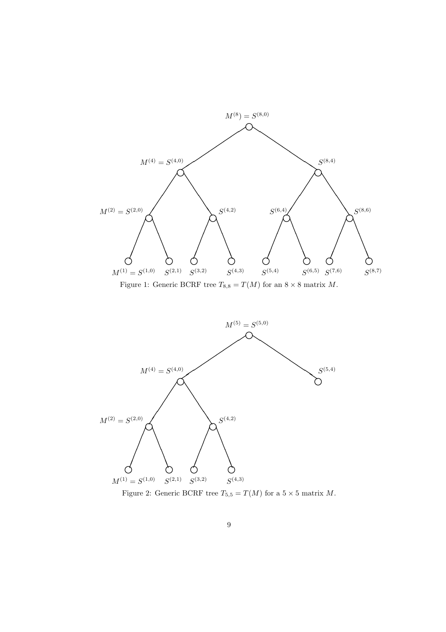

Figure 1: Generic BCRF tree  $T_{8,8} = T(M)$  for an  $8 \times 8$  matrix M.



Figure 2: Generic BCRF tree  $T_{5,5} = T(M)$  for a  $5 \times 5$  matrix  $M$ .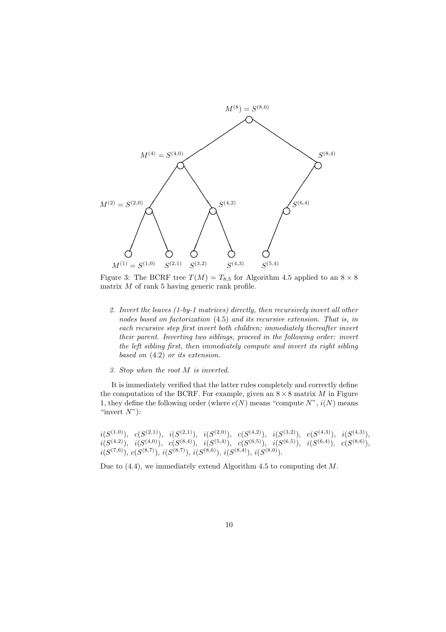

Figure 3: The BCRF tree  $T(M) = T_{8,5}$  for Algorithm 4.5 applied to an  $8 \times 8$ matrix  $M$  of rank 5 having generic rank profile.

- *2. Invert the leaves (1-by-1 matrices) directly, then recursively invert all other nodes based on factorization* (4.5) *and its recursive extension. That is, in each recursive step first invert both children; immediately thereafter invert their parent. Inverting two siblings, proceed in the following order: invert the left sibling first, then immediately compute and invert its right sibling based on* (4.2) *or its extension.*
- *3. Stop when the root* M *is inverted.*

It is immediately verified that the latter rules completely and correctly define the computation of the BCRF. For example, given an  $8 \times 8$  matrix M in Figure 1, they define the following order (where  $c(N)$  means "compute  $N$ ",  $i(N)$  means "invert $N$ "):

 $i(S^{(1,0)}), \quad c(S^{(2,1)}), \quad i(S^{(2,1)}), \quad i(S^{(2,0)}), \quad c(S^{(4,2)}), \quad i(S^{(3,2)}), \quad c(S^{(4,3)}), \quad i(S^{(4,3)}),$  $i(S^{(4,2)}), \quad i(S^{(4,0)}), \quad c(S^{(8,4)}), \quad i(S^{(5,4)}), \quad c(S^{(6,5)}), \quad i(S^{(6,5)}), \quad i(S^{(6,4)}), \quad c(S^{(8,6)}),$  $i(S^{(7,6)}), c(S^{(8,7)}), i(S^{(8,7)}), i(S^{(8,6)}), i(S^{(8,4)}), i(S^{(8,0)}).$ 

Due to  $(4.4)$ , we immediately extend Algorithm 4.5 to computing det M.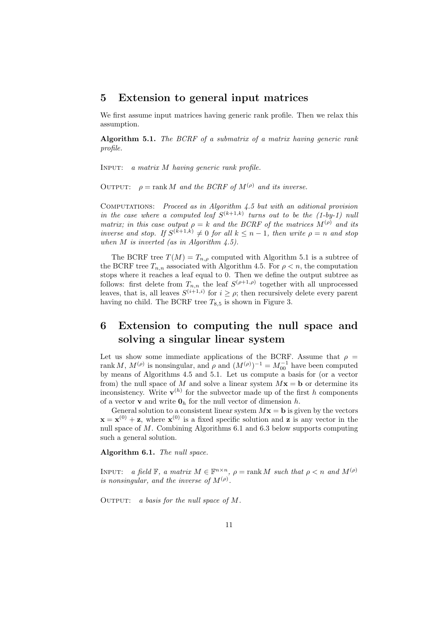### **5 Extension to general input matrices**

We first assume input matrices having generic rank profile. Then we relax this assumption.

**Algorithm 5.1.** *The BCRF of a submatrix of a matrix having generic rank profile.*

Input: *a matrix* M *having generic rank profile.*

OUTPUT:  $\rho = \text{rank } M$  *and the BCRF of*  $M^{(\rho)}$  *and its inverse.* 

Computations: *Proceed as in Algorithm 4.5 but with an aditional provision in the case where a computed leaf*  $S^{(k+1,k)}$  *turns out to be the (1-by-1) null matrix; in this case output*  $\rho = k$  *and the BCRF of the matrices*  $M^{(\rho)}$  *and its inverse and stop. If*  $S^{(k+1,k)} \neq 0$  *for all*  $k \leq n-1$ *, then write*  $\rho = n$  *and stop when* M *is inverted (as in Algorithm 4.5).*

The BCRF tree  $T(M) = T_{n,\rho}$  computed with Algorithm 5.1 is a subtree of the BCRF tree  $T_{n,n}$  associated with Algorithm 4.5. For  $\rho < n$ , the computation stops where it reaches a leaf equal to 0. Then we define the output subtree as follows: first delete from  $T_{n,n}$  the leaf  $S^{(\rho+1,\rho)}$  together with all unprocessed leaves, that is, all leaves  $S^{(i+1,i)}$  for  $i \geq \rho$ ; then recursively delete every parent having no child. The BCRF tree  $T_{8,5}$  is shown in Figure 3.

# **6 Extension to computing the null space and solving a singular linear system**

Let us show some immediate applications of the BCRF. Assume that  $\rho =$ rank M,  $M^{(\rho)}$  is nonsingular, and  $\rho$  and  $(M^{(\rho)})^{-1} = M_0^{-1}$  have been computed<br>by moons of Algorithms 4.5 and 5.1. Let us compute a basis for (or a vector by means of Algorithms 4.5 and 5.1. Let us compute a basis for (or a vector from) the null space of M and solve a linear system  $Mx = b$  or determine its inconsistency. Write  $\mathbf{v}^{(h)}$  for the subvector made up of the first h components of a vector **v** and write  $\mathbf{0}_h$  for the null vector of dimension h.

General solution to a consistent linear system  $Mx = b$  is given by the vectors  $\mathbf{x} = \mathbf{x}^{(0)} + \mathbf{z}$ , where  $\mathbf{x}^{(0)}$  is a fixed specific solution and **z** is any vector in the null space of M. Combining Algorithms 6.1 and 6.3 below supports computing such a general solution.

**Algorithm 6.1.** *The null space.*

INPUT: *a field*  $\mathbb{F}$ *, a matrix*  $M \in \mathbb{F}^{n \times n}$ *,*  $\rho = \text{rank } M$  *such that*  $\rho < n$  *and*  $M^{(\rho)}$ *is nonsingular, and the inverse of*  $M^{(\rho)}$ .

Output: *a basis for the null space of* M*.*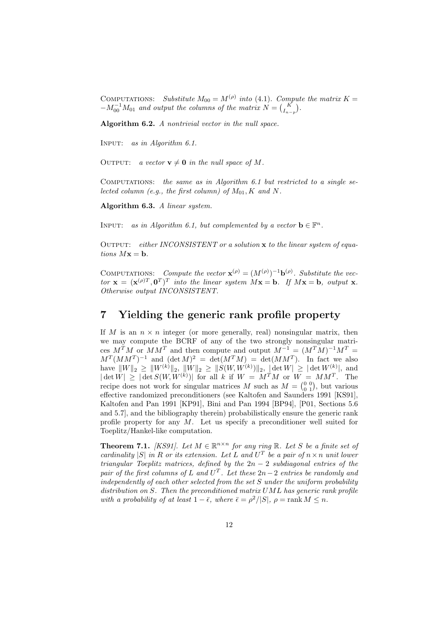COMPUTATIONS: *Substitute*  $M_{00} = M^{(\rho)}$  *into* (4.1). Compute the matrix  $K = -M_{00}^{-1}M_{01}$  and output the columns of the matrix  $N = {K \choose I_{n-p}}$ .

**Algorithm 6.2.** *A nontrivial vector in the null space.*

Input: *as in Algorithm 6.1.*

OUTPUT: *a vector*  $\mathbf{v} \neq \mathbf{0}$  *in the null space of* M.

Computations: *the same as in Algorithm 6.1 but restricted to a single selected column (e.g., the first column) of*  $M_{01}$ ,  $K$  *and*  $N$ .

**Algorithm 6.3.** *A linear system.*

INPUT: *as in Algorithm 6.1, but complemented by a vector*  $\mathbf{b} \in \mathbb{F}^n$ .

Output: *either INCONSISTENT or a solution* **x** *to the linear system of equations*  $Mx = b$ *.* 

COMPUTATIONS: *Compute the vector*  $\mathbf{x}^{(\rho)} = (M^{(\rho)})^{-1} \mathbf{b}^{(\rho)}$ *. Substitute the vector*  $\mathbf{x} = (\mathbf{x}^{(\rho)T}, \mathbf{0}^T)^T$  *into the linear system*  $M\mathbf{x} = \mathbf{b}$ *. If*  $M\mathbf{x} = \mathbf{b}$ *, output* **x***. Otherwise output INCONSISTENT.*

### **7 Yielding the generic rank profile property**

If M is an  $n \times n$  integer (or more generally, real) nonsingular matrix, then we may compute the BCRF of any of the two strongly nonsingular matrices  $M^T M$  or  $M M^T$  and then compute and output  $M^{-1} = (M^T M)^{-1} M^T =$  $M^T (MM^T)^{-1}$  and  $(\det M)^2 = \det (M^T M) = \det (M M^T)$ . In fact we also have  $||W||_2 \ge ||W^{(k)}||_2$ ,  $||W||_2 \ge ||S(W, W^{(k)})||_2$ ,  $|\det W| \ge |\det W^{(k)}|$ , and  $|\det W| \geq |\det S(W, W^{(k)})|$  for all k if  $W = M^T M$  or  $W = M M^T$ . The recipe does not work for singular matrices M such as  $M = \begin{pmatrix} 0 & 0 \\ 0 & 1 \end{pmatrix}$ , but various<br>effective randomized preconditioners (see Kaltofen and Saunders 1991 [KS91] effective randomized preconditioners (see Kaltofen and Saunders 1991 [KS91], Kaltofen and Pan 1991 [KP91], Bini and Pan 1994 [BP94], [P01, Sections 5.6 and 5.7], and the bibliography therein) probabilistically ensure the generic rank profile property for any  $M$ . Let us specify a preconditioner well suited for Toeplitz/Hankel-like computation.

**Theorem 7.1.** *[KS91].* Let  $M \in \mathbb{R}^{n \times n}$  for any ring  $\mathbb{R}$ . Let S be a finite set of *cardinality*  $|S|$  *in* R *or its extension. Let* L *and*  $U<sup>T</sup>$  *be a pair of*  $n \times n$  *unit lower triangular Toeplitz matrices, defined by the* 2n − 2 *subdiagonal entries of the pair of the first columns of* L and  $U<sup>T</sup>$ *. Let these*  $2n-2$  *entries be randomly and independently of each other selected from the set* S *under the uniform probability distribution on* S*. Then the preconditioned matrix* UML *has generic rank profile with a probability of at least*  $1 - \bar{\epsilon}$ *, where*  $\bar{\epsilon} = \rho^2/|S|$ *,*  $\rho = \text{rank } M \leq n$ *.*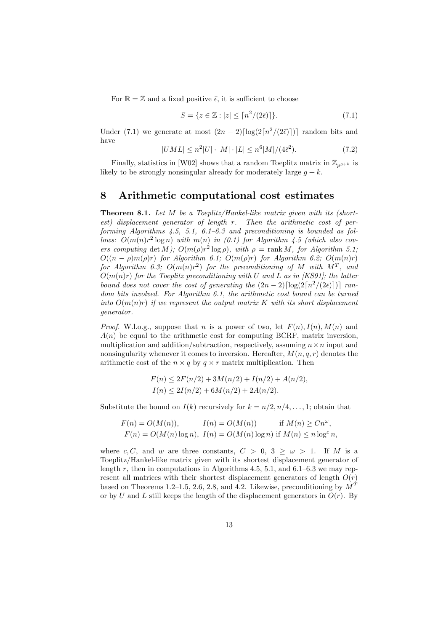For  $\mathbb{R} = \mathbb{Z}$  and a fixed positive  $\bar{\epsilon}$ , it is sufficient to choose

$$
S = \{ z \in \mathbb{Z} : |z| \le \lceil n^2/(2\bar{\epsilon}) \rceil \}. \tag{7.1}
$$

Under (7.1) we generate at most  $(2n-2)\lceil \log(2\lceil n^2/(2\bar{\epsilon}) \rceil) \rceil$  random bits and have

$$
|UML| \le n^2|U| \cdot |M| \cdot |L| \le n^6|M|/(4\bar{\epsilon}^2). \tag{7.2}
$$

Finally, statistics in [W02] shows that a random Toeplitz matrix in  $\mathbb{Z}_{p^{g+k}}$  is likely to be strongly nonsingular already for moderately large  $g + k$ .

### **8 Arithmetic computational cost estimates**

**Theorem 8.1.** *Let* <sup>M</sup> *be a Toeplitz/Hankel-like matrix given with its (shortest) displacement generator of length* r*. Then the arithmetic cost of performing Algorithms 4.5, 5.1, 6.1–6.3 and preconditioning is bounded as follows:*  $O(m(n)r^2 \log n)$  *with*  $m(n)$  *in* (0.1) for Algorithm 4.5 (which also cov*ers computing* det *M)*;  $O(m(\rho)r^2 \log \rho)$ , with  $\rho = \text{rank } M$ , for Algorithm 5.1;  $O((n - \rho)m(\rho)r)$  *for Algorithm 6.1;*  $O(m(\rho)r)$  *for Algorithm 6.2;*  $O(m(n)r)$ *for Algorithm 6.3;*  $O(m(n)r^2)$  *for the preconditioning of* M *with*  $M^T$ *, and* O(m(n)r) *for the Toeplitz preconditioning with* U *and* L *as in [KS91]; the latter bound does not cover the cost of generating the*  $(2n-2)\lceil \log(2\lceil n^2/(2\bar{\epsilon}) \rceil) \rceil$  ran*dom bits involved. For Algorithm 6.1, the arithmetic cost bound can be turned into*  $O(m(n)r)$  *if we represent the output matrix* K *with its short displacement generator.*

*Proof.* W.l.o.g., suppose that n is a power of two, let  $F(n)$ ,  $I(n)$ ,  $M(n)$  and  $A(n)$  be equal to the arithmetic cost for computing BCRF, matrix inversion, multiplication and addition/subtraction, respectively, assuming  $n \times n$  input and nonsingularity whenever it comes to inversion. Hereafter,  $M(n, q, r)$  denotes the arithmetic cost of the  $n \times q$  by  $q \times r$  matrix multiplication. Then

$$
F(n) \le 2F(n/2) + 3M(n/2) + I(n/2) + A(n/2),
$$
  
\n
$$
I(n) \le 2I(n/2) + 6M(n/2) + 2A(n/2).
$$

Substitute the bound on  $I(k)$  recursively for  $k = n/2, n/4, \ldots, 1$ ; obtain that

$$
F(n) = O(M(n)), \qquad I(n) = O(M(n)) \qquad \text{if } M(n) \geq Cn^{\omega},
$$
  

$$
F(n) = O(M(n) \log n), \quad I(n) = O(M(n) \log n) \text{ if } M(n) \leq n \log^c n,
$$

where c, C, and w are three constants,  $C > 0$ ,  $3 \geq \omega > 1$ . If M is a Toeplitz/Hankel-like matrix given with its shortest displacement generator of length r, then in computations in Algorithms 4.5, 5.1, and 6.1–6.3 we may represent all matrices with their shortest displacement generators of length  $O(r)$ based on Theorems 1.2–1.5, 2.6, 2.8, and 4.2. Likewise, preconditioning by  $M<sup>T</sup>$ or by U and L still keeps the length of the displacement generators in  $O(r)$ . By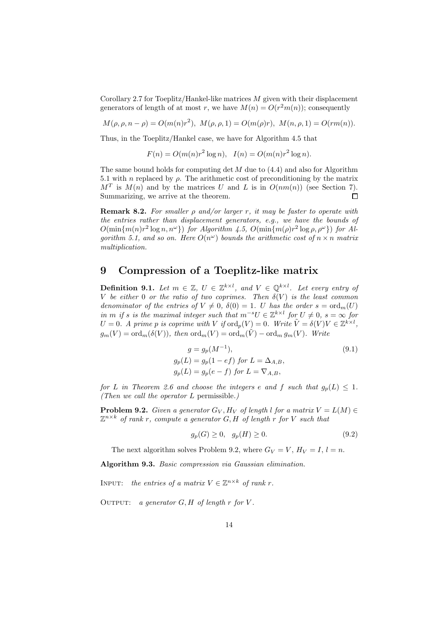Corollary 2.7 for Toeplitz/Hankel-like matrices  $M$  given with their displacement generators of length of at most r, we have  $M(n) = O(r^2m(n))$ ; consequently

$$
M(\rho, \rho, n - \rho) = O(m(n)r^2), M(\rho, \rho, 1) = O(m(\rho)r), M(n, \rho, 1) = O(rm(n)).
$$

Thus, in the Toeplitz/Hankel case, we have for Algorithm 4.5 that

 $F(n) = O(m(n)r^2 \log n), \quad I(n) = O(m(n)r^2 \log n).$ 

The same bound holds for computing det  $M$  due to (4.4) and also for Algorithm 5.1 with n replaced by  $\rho$ . The arithmetic cost of preconditioning by the matrix  $M<sup>T</sup>$  is  $M(n)$  and by the matrices U and L is in  $O(nm(n))$  (see Section 7). Summarizing, we arrive at the theorem.  $\Box$ 

**Remark 8.2.** *For smaller* <sup>ρ</sup> *and/or larger* <sup>r</sup>*, it may be faster to operate with the entries rather than displacement generators, e.g., we have the bounds of*  $O(\min\{m(n)r^2\log n, n^{\omega}\})$  *for Algorithm 4.5,*  $O(\min\{m(\rho)r^2\log \rho, \rho^{\omega}\})$  *for Algorithm 5.1, and so on. Here*  $O(n^{\omega})$  *bounds the arithmetic cost of*  $n \times n$  *matrix multiplication.*

## **9 Compression of a Toeplitz-like matrix**

**Definition 9.1.** Let  $m \in \mathbb{Z}$ ,  $U \in \mathbb{Z}^{k \times l}$ , and  $V \in \mathbb{Q}^{k \times l}$ . Let every entry of  $V$  be either 0 or the ratio of two corrings. Then  $\delta(V)$  is the least common V be either 0 or the ratio of two coprimes. Then  $\delta(V)$  is the least common *denominator of the entries of*  $V \neq 0$ ,  $\delta(0) = 1$ . U *has the order*  $s = \text{ord}_m(U)$ *in* m *if* s *is the maximal integer such that*  $m^{-s}U \in \mathbb{Z}^{k \times l}$  *for*  $U \neq 0$ ,  $s = \infty$  *for*  $U = 0$ *. A prime p is coprime with*  $V$  *if*  $\text{ord}_p(V) = 0$ *. Write*  $\tilde{V} = \delta(V)V \in \mathbb{Z}^{k \times l}$ *,*  $g_m(V) = \text{ord}_m(\delta(V))$ , then  $\text{ord}_m(V) = \text{ord}_m(\tilde{V}) - \text{ord}_m g_m(V)$ . Write

$$
g = g_p(M^{-1}),
$$
  
\n
$$
g_p(L) = g_p(1 - ef) \text{ for } L = \Delta_{A,B},
$$
  
\n
$$
g_p(L) = g_p(e - f) \text{ for } L = \nabla_{A,B},
$$
\n(9.1)

*for* L *in Theorem 2.6 and choose the integers* e and f *such that*  $g_p(L) \leq 1$ *. (Then we call the operator* L permissible*.)*

**Problem 9.2.** *Given a generator*  $G_V$ ,  $H_V$  *of length l for a matrix*  $V = L(M) \in$  $\mathbb{Z}^{n \times k}$  *of rank r, compute a generator* G, H *of length* r *for* V *such that* 

$$
g_p(G) \ge 0, \quad g_p(H) \ge 0. \tag{9.2}
$$

The next algorithm solves Problem 9.2, where  $G_V = V$ ,  $H_V = I$ ,  $l = n$ .

**Algorithm 9.3.** *Basic compression via Gaussian elimination.*

INPUT: *the entries of a matrix*  $V \in \mathbb{Z}^{n \times k}$  *of rank r*.

OUTPUT: *a generator*  $G, H$  *of length*  $r$  *for*  $V$ *.*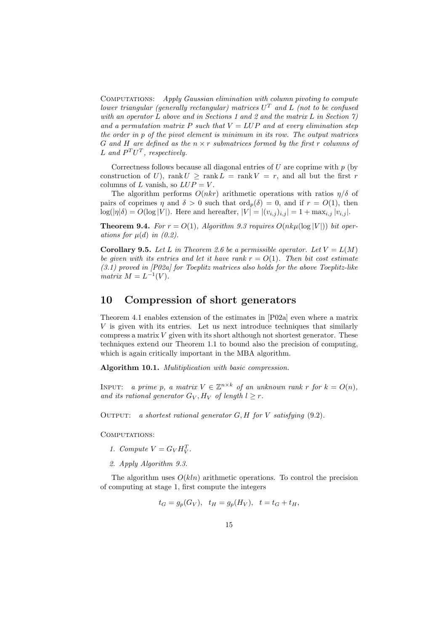Computations: *Apply Gaussian elimination with column pivoting to compute lower triangular (generally rectangular) matrices* U<sup>T</sup> *and* L *(not to be confused with an operator* L *above and in Sections 1 and 2 and the matrix* L *in Section 7)* and a permutation matrix P such that  $V = LUP$  and at every elimination step *the order in* p *of the pivot element is minimum in its row. The output matrices* G *and* H *are defined as the* n × r *submatrices formed by the first* r *columns of* L and  $P^T U^T$ , respectively.

Correctness follows because all diagonal entries of  $U$  are coprime with  $p$  (by construction of U), rank  $U \geq \text{rank } L = \text{rank } V = r$ , and all but the first r columns of L vanish, so  $LUP = V$ .

The algorithm performs  $O(nkr)$  arithmetic operations with ratios  $\eta/\delta$  of pairs of coprimes  $\eta$  and  $\delta > 0$  such that  $\text{ord}_p(\delta) = 0$ , and if  $r = O(1)$ , then  $log(|\eta|\delta) = O(log |V|)$ . Here and hereafter,  $|V| = |(v_{i,j})_{i,j}| = 1 + max_{i,j} |v_{i,j}|$ .

**Theorem 9.4.** For  $r = O(1)$ , Algorithm 9.3 requires  $O(nk\mu(\log|V|))$  bit oper*ations for*  $\mu(d)$  *in*  $(0.2)$ *.* 

**Corollary 9.5.** Let L in Theorem 2.6 be a permissible operator. Let  $V = L(M)$ *be given with its entries and let it have rank*  $r = O(1)$ *. Then bit cost estimate (3.1) proved in [P02a] for Toeplitz matrices also holds for the above Toeplitz-like matrix*  $M = L^{-1}(V)$ .

### **10 Compression of short generators**

Theorem 4.1 enables extension of the estimates in [P02a] even where a matrix  $V$  is given with its entries. Let us next introduce techniques that similarly compress a matrix  $V$  given with its short although not shortest generator. These techniques extend our Theorem 1.1 to bound also the precision of computing, which is again critically important in the MBA algorithm.

**Algorithm 10.1.** *Mulitiplication with basic compression.*

INPUT: *a prime* p, a matrix  $V \in \mathbb{Z}^{n \times k}$  of an unknown rank r for  $k = O(n)$ , *and its rational generator*  $G_V$ ,  $H_V$  *of length*  $l \geq r$ .

Output: *a shortest rational generator* G, H *for* V *satisfying* (9.2)*.*

COMPUTATIONS:

- *1. Compute*  $V = G_V H_V^T$ .
- *2. Apply Algorithm 9.3.*

The algorithm uses  $O(kln)$  arithmetic operations. To control the precision of computing at stage 1, first compute the integers

$$
t_G = g_p(G_V), \quad t_H = g_p(H_V), \quad t = t_G + t_H,
$$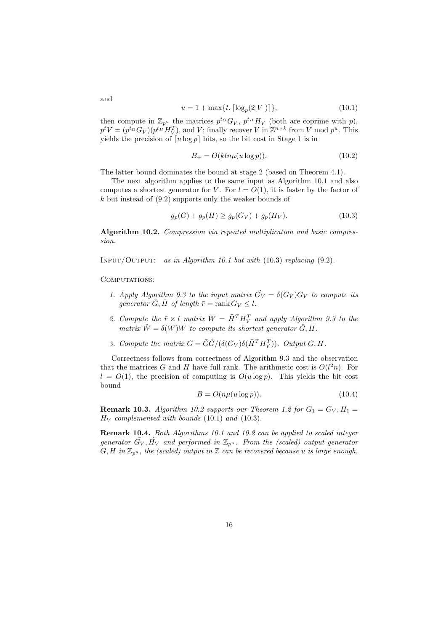$$
u = 1 + \max\{t, \lceil \log_p(2|V|) \rceil\},\tag{10.1}
$$

then compute in  $\mathbb{Z}_{p^u}$  the matrices  $p^{t_G}G_V$ ,  $p^{t_H}H_V$  (both are coprime with p),  $p^t V = (p^{t_G} G_V)(p^{t_H} H_V^T)$ , and V; finally recover V in  $\mathbb{Z}^{n \times k}$  from V mod  $p^u$ . This yields the precision of  $\lceil u \log p \rceil$  bits, so the bit cost in Stage 1 is in

$$
B_{+} = O(kln\mu(u\log p)).
$$
\n(10.2)

The latter bound dominates the bound at stage 2 (based on Theorem 4.1).

The next algorithm applies to the same input as Algorithm 10.1 and also computes a shortest generator for V. For  $l = O(1)$ , it is faster by the factor of k but instead of (9.2) supports only the weaker bounds of

$$
g_p(G) + g_p(H) \ge g_p(G_V) + g_p(H_V). \tag{10.3}
$$

**Algorithm 10.2.** *Compression via repeated multiplication and basic compression.*

Input/Output: *as in Algorithm 10.1 but with* (10.3) *replacing* (9.2)*.*

#### COMPUTATIONS:

- *1. Apply Algorithm 9.3 to the input matrix*  $\tilde{G}_V = \delta(G_V)G_V$  *to compute its generator*  $\bar{G}, \bar{H}$  *of length*  $\bar{r} = \text{rank } G_V \leq l$ .
- 2. Compute the  $\bar{r} \times l$  matrix  $W = \bar{H}^T H_V^T$  and apply Algorithm 9.3 to the *matrix*  $\tilde{W} = \delta(W)W$  *to compute its shortest generator*  $\hat{G}$ , *H*.
- 3. Compute the matrix  $G = \overline{G}\hat{G}/(\delta(G_V)\delta(\overline{H}^T H_V^T))$ . Output  $G, H$ .

Correctness follows from correctness of Algorithm 9.3 and the observation that the matrices G and H have full rank. The arithmetic cost is  $O(l^2n)$ . For  $l = O(1)$ , the precision of computing is  $O(u \log p)$ . This yields the bit cost bound

$$
B = O(n\mu(u\log p)).\tag{10.4}
$$

**Remark 10.3.** *Algorithm 10.2 supports our Theorem 1.2 for*  $G_1 = G_V, H_1 =$  $H_V$  *complemented with bounds* (10.1) *and* (10.3).

**Remark 10.4.** *Both Algorithms 10.1 and 10.2 can be applied to scaled integer*  $g$ enerator  $\tilde{G_V}, \tilde{H_V}$  and performed in  $\mathbb{Z}_{p^u}$ . From the (scaled) output generator  $G, H$  *in*  $\mathbb{Z}_{p^u}$ *, the (scaled) output in*  $\mathbb Z$  *can be recovered because u is large enough.* 

and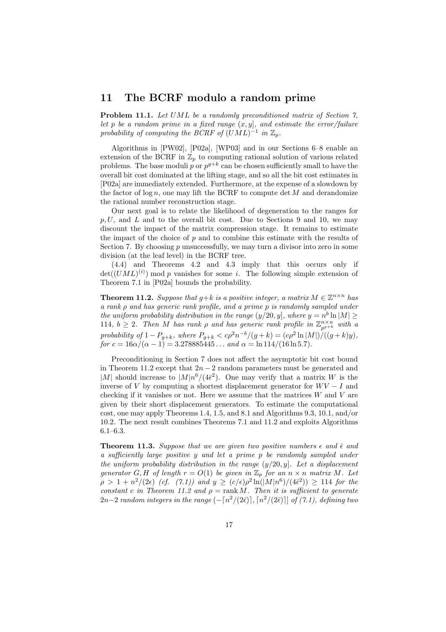### **11 The BCRF modulo a random prime**

**Problem 11.1.** *Let* UML *be a randomly preconditioned matrix of Section 7, let* p *be a random prime in a fixed range*  $(x, y)$ *, and estimate the error/failure probability of computing the BCRF of*  $(UML)^{-1}$  *in*  $\mathbb{Z}_p$ *.* 

Algorithms in [PW02], [P02a], [WP03] and in our Sections 6–8 enable an extension of the BCRF in  $\mathbb{Z}_p$  to computing rational solution of various related problems. The base moduli p or  $p^{g+k}$  can be chosen sufficiently small to have the overall bit cost dominated at the lifting stage, and so all the bit cost estimates in [P02a] are immediately extended. Furthermore, at the expense of a slowdown by the factor of  $\log n$ , one may lift the BCRF to compute det M and derandomize the rational number reconstruction stage.

Our next goal is to relate the likelihood of degeneration to the ranges for  $p, U$ , and L and to the overall bit cost. Due to Sections 9 and 10, we may discount the impact of the matrix compression stage. It remains to estimate the impact of the choice of  $p$  and to combine this estimate with the results of Section 7. By choosing  $p$  unsuccessfully, we may turn a divisor into zero in some division (at the leaf level) in the BCRF tree.

(4.4) and Theorems 4.2 and 4.3 imply that this occurs only if  $\det((UML)^{(i)})$  mod p vanishes for some i. The following simple extension of Theorem 7.1 in [P02a] bounds the probability.

**Theorem 11.2.** *Suppose that*  $g+k$  *is a positive integer, a matrix*  $M \in \mathbb{Z}^{n \times n}$  *has a rank* ρ *and has generic rank profile, and a prime* p *is randomly sampled under the uniform probability distribution in the range*  $(y/20, y]$ *, where*  $y = n^b \ln|M| \ge$ 114,  $b \geq 2$ . Then M has rank  $\rho$  and has generic rank profile in  $\mathbb{Z}_{p^{g+k}}^{n \times n}$  with a *probability of*  $1 - P_{g+k}$ *, where*  $P_{g+k} < c\rho^2 n^{-b}/(g+k) = (c\rho^2 \ln|M|)/((g+k)y)$ *, for*  $c = 16\alpha/(\alpha - 1) = 3.278885445...$  *and*  $\alpha = \ln 114/(16 \ln 5.7)$ *.* 

Preconditioning in Section 7 does not affect the asymptotic bit cost bound in Theorem 11.2 except that  $2n-2$  random parameters must be generated and |M| should increase to  $|M|n^6/(4\bar{\epsilon}^2)$ . One may verify that a matrix W is the inverse of V by computing a shortest displacement generator for  $WV - I$  and checking if it vanishes or not. Here we assume that the matrices  $W$  and  $V$  are given by their short displacement generators. To estimate the computational cost, one may apply Theorems 1.4, 1.5, and 8.1 and Algorithms 9.3, 10.1, and/or 10.2. The next result combines Theorems 7.1 and 11.2 and exploits Algorithms 6.1–6.3.

**Theorem 11.3.** Suppose that we are given two positive numbers  $\epsilon$  and  $\bar{\epsilon}$  and *a sufficiently large positive* y *and let a prime* p *be randomly sampled under the uniform probability distribution in the range* (y/20, y]*. Let a displacement generator* G, H of length  $r = O(1)$  be given in  $\mathbb{Z}_p$  for an  $n \times n$  matrix M. Let  $\rho > 1 + n^2/(2\epsilon)$  *(cf. (7.1))* and  $y \ge (c/\epsilon)\rho^2 \ln(|M|n^6)/(4\bar{\epsilon}^2)$   $\ge 114$  for the *constant* c *in Theorem 11.2 and*  $\rho = \text{rank } M$ . Then *it is sufficient to generate* 2n−2 *random integers in the range* (− n2/(2¯), n2/(2¯)] *of (7.1), defining two*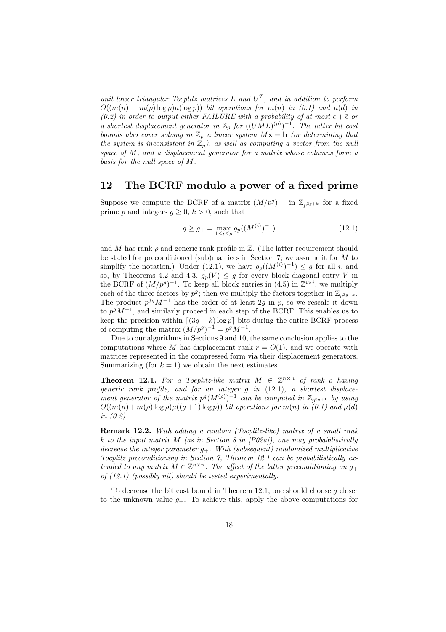*unit lower triangular Toeplitz matrices*  $L$  *and*  $U<sup>T</sup>$ *, and in addition to perform*  $O((m(n) + m(\rho) \log \rho) \mu(\log p))$  *bit operations for*  $m(n)$  *in* (0.1) and  $\mu(d)$  *in (0.2) in order to output either FAILURE with a probability of at most*  $\epsilon + \bar{\epsilon}$  *or a shortest displacement generator in*  $\mathbb{Z}_p$  *for*  $((UML)^{(\rho)})^{-1}$ *. The latter bit cost bounds also cover solving in*  $\mathbb{Z}_p$  *a linear system*  $M\mathbf{x} = \mathbf{b}$  *(or determining that* the system is inconsistent in  $\mathbb{Z}_p$ , as well as computing a vector from the null *space of* M*, and a displacement generator for a matrix whose columns form a basis for the null space of* M*.*

### **12 The BCRF modulo a power of a fixed prime**

Suppose we compute the BCRF of a matrix  $(M/p^g)^{-1}$  in  $\mathbb{Z}_{p^{3g+k}}$  for a fixed prime p and integers  $q \geq 0, k \geq 0$ , such that

$$
g \ge g_{+} = \max_{1 \le i \le \rho} g_{p}((M^{(i)})^{-1})
$$
\n(12.1)

and M has rank  $\rho$  and generic rank profile in  $\mathbb{Z}$ . (The latter requirement should be stated for preconditioned (sub)matrices in Section 7; we assume it for M to simplify the notation.) Under (12.1), we have  $g_p((M^{(i)})^{-1}) \leq g$  for all i, and so, by Theorems 4.2 and 4.3,  $g_p(V) \leq g$  for every block diagonal entry V in the BCRF of  $(M/p^g)^{-1}$ . To keep all block entries in (4.5) in  $\mathbb{Z}^{i \times i}$ , we multiply each of the three factors by  $p^g$ ; then we multiply the factors together in  $\mathbb{Z}_{p^{3g+k}}$ . The product  $p^{3g}M^{-1}$  has the order of at least 2g in p, so we rescale it down to  $p^g M^{-1}$ , and similarly proceed in each step of the BCRF. This enables us to keep the precision within  $\left[ (3g + k) \log p \right]$  bits during the entire BCRF process of computing the matrix  $(M/p^g)^{-1} = p^g M^{-1}$ .

Due to our algorithms in Sections 9 and 10, the same conclusion applies to the computations where M has displacement rank  $r = O(1)$ , and we operate with matrices represented in the compressed form via their displacement generators. Summarizing (for  $k = 1$ ) we obtain the next estimates.

**Theorem 12.1.** *For a Toeplitz-like matrix*  $M \in \mathbb{Z}^{n \times n}$  *of rank ρ having generic rank profile, and for an integer* g *in* (12.1)*, a shortest displacement generator of the matrix*  $p^g(M^{(\rho)})^{-1}$  *can be computed in*  $\mathbb{Z}_{p^{3g+1}}$  *by using*  $O((m(n) + m(\rho) \log \rho)\mu((g+1) \log p))$  *bit operations for*  $m(n)$  *in* (0.1) and  $\mu(d)$ *in (0.2).*

**Remark 12.2.** *With adding a random (Toeplitz-like) matrix of a small rank* k *to the input matrix* M *(as in Section 8 in [P02a]), one may probabilistically decrease the integer parameter* <sup>g</sup>+*. With (subsequent) randomized multiplicative Toeplitz preconditioning in Section 7, Theorem 12.1 can be probabilistically extended to any matrix*  $M \in \mathbb{Z}^{n \times n}$ . The affect of the latter preconditioning on  $g_+$ *of (12.1) (possibly nil) should be tested experimentally.*

To decrease the bit cost bound in Theorem 12.1, one should choose g closer to the unknown value  $g_{+}$ . To achieve this, apply the above computations for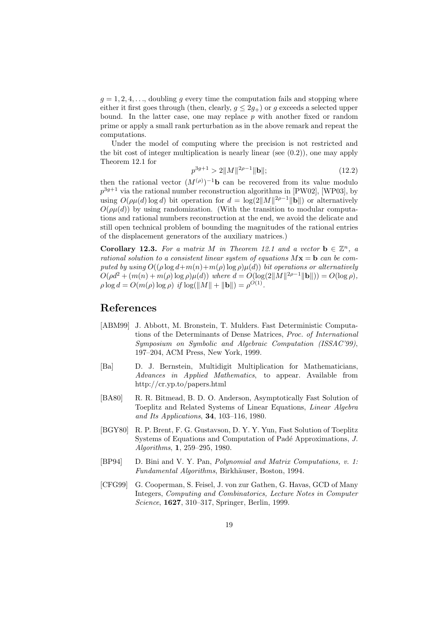$g = 1, 2, 4, \ldots$ , doubling g every time the computation fails and stopping where either it first goes through (then, clearly,  $g \leq 2g_{+}$ ) or g exceeds a selected upper bound. In the latter case, one may replace  $p$  with another fixed or random prime or apply a small rank perturbation as in the above remark and repeat the computations.

Under the model of computing where the precision is not restricted and the bit cost of integer multiplication is nearly linear (see  $(0.2)$ ), one may apply Theorem 12.1 for

$$
p^{3g+1} > 2||M||^{2\rho - 1}||\mathbf{b}||;
$$
\n(12.2)

then the rational vector  $(M^{(\rho)})^{-1}$ **b** can be recovered from its value modulo  $n^{3g+1}$  via the rational number reconstruction algorithms in [PW02]. [WP02] by  $p^{3g+1}$  via the rational number reconstruction algorithms in [PW02], [WP03], by using  $O(\rho \mu(d) \log d)$  bit operation for  $d = \log(2||M||^{2\rho-1}||\mathbf{b}||)$  or alternatively  $O(\rho\mu(d))$  by using randomization. (With the transition to modular computations and rational numbers reconstruction at the end, we avoid the delicate and still open technical problem of bounding the magnitudes of the rational entries of the displacement generators of the auxiliary matrices.)

**Corollary 12.3.** *For a matrix* M *in Theorem 12.1 and a vector*  $\mathbf{b} \in \mathbb{Z}^n$ , a *rational solution to a consistent linear system of equations*  $Mx = b$  *can be computed by using*  $O((\rho \log d + m(n) + m(\rho) \log \rho)\mu(d))$  *bit operations or alternatively*  $O(\rho d^2 + (m(n) + m(\rho) \log \rho)\mu(d))$  *where*  $d = O(\log(2||M||^{2\rho-1}||\mathbf{b}||)) = O(\log \rho)$ *,*  $\rho \log d = O(m(\rho) \log \rho)$  *if*  $\log(||M|| + ||\mathbf{b}||) = \rho^{O(1)}$ .

### **References**

- [ABM99] J. Abbott, M. Bronstein, T. Mulders. Fast Deterministic Computations of the Determinants of Dense Matrices, *Proc. of International Symposium on Symbolic and Algebraic Computation (ISSAC'99)*, 197–204, ACM Press, New York, 1999.
- [Ba] D. J. Bernstein, Multidigit Multiplication for Mathematicians, *Advances in Applied Mathematics*, to appear. Available from http://cr.yp.to/papers.html
- [BA80] R. R. Bitmead, B. D. O. Anderson, Asymptotically Fast Solution of Toeplitz and Related Systems of Linear Equations, *Linear Algebra and Its Applications*, **34**, 103–116, 1980.
- [BGY80] R. P. Brent, F. G. Gustavson, D. Y. Y. Yun, Fast Solution of Toeplitz Systems of Equations and Computation of Padé Approximations, *J. Algorithms*, **1**, 259–295, 1980.
- [BP94] D. Bini and V. Y. Pan, *Polynomial and Matrix Computations, v. 1: Fundamental Algorithms*, Birkh¨auser, Boston, 1994.
- [CFG99] G. Cooperman, S. Feisel, J. von zur Gathen, G. Havas, GCD of Many Integers, *Computing and Combinatorics, Lecture Notes in Computer Science*, **1627**, 310–317, Springer, Berlin, 1999.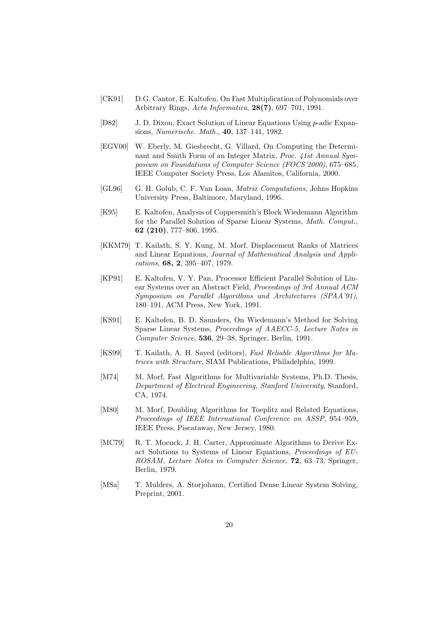- [CK91] D.G. Cantor, E. Kaltofen, On Fast Multiplication of Polynomials over Arbitrary Rings, *Acta Informatica*, **28(7)**, 697–701, 1991.
- [D82] J. D. Dixon, Exact Solution of Linear Equations Using p-adic Expansions, *Numerische. Math.*, **40**, 137–141, 1982.
- [EGV00] W. Eberly, M. Giesbrecht, G. Villard, On Computing the Determinant and Smith Form of an Integer Matrix, *Proc. 41st Annual Symposium on Foundations of Computer Science (FOCS'2000)*, 675–685, IEEE Computer Society Press, Los Alamitos, California, 2000.
- [GL96] G. H. Golub, C. F. Van Loan, *Matrix Computations*, Johns Hopkins University Press, Baltimore, Maryland, 1996.
- [K95] E. Kaltofen, Analysis of Coppersmith's Block Wiedemann Algorithm for the Parallel Solution of Sparse Linear Systems, *Math. Comput.*, **62 (210)**, 777–806, 1995.
- [KKM79] T. Kailath, S. Y. Kung, M. Morf, Displacement Ranks of Matrices and Linear Equations, *Journal of Mathematical Analysis and Applications*, **68, 2**, 395–407, 1979.
- [KP91] E. Kaltofen, V. Y. Pan, Processor Efficient Parallel Solution of Linear Systems over an Abstract Field, *Proceedings of 3rd Annual ACM Symposium on Parallel Algorithms and Architectures (SPAA'91)*, 180–191, ACM Press, New York, 1991.
- [KS91] E. Kaltofen, B. D. Saunders, On Wiedemann's Method for Solving Sparse Linear Systems, *Proceedings of AAECC-5, Lecture Notes in Computer Science*, **536**, 29–38, Springer, Berlin, 1991.
- [KS99] T. Kailath, A. H. Sayed (editors), *Fast Reliable Algorithms for Matrices with Structure*, SIAM Publications, Philadelphia, 1999.
- [M74] M. Morf, Fast Algorithms for Multivariable Systems, Ph.D. Thesis, *Department of Electrical Engineering, Stanford University*, Stanford, CA, 1974.
- [M80] M. Morf, Doubling Algorithms for Toeplitz and Related Equations, *Proceedings of IEEE International Conference on ASSP*, 954–959, IEEE Press, Piscataway, New Jersey, 1980.
- [MC79] R. T. Moenck, J. H. Carter, Approximate Algorithms to Derive Exact Solutions to Systems of Linear Equations, *Proceedings of EU-ROSAM, Lecture Notes in Computer Science*, **72**, 63–73, Springer, Berlin, 1979.
- [MSa] T. Mulders, A. Storjohann, Certified Dense Linear System Solving, Preprint, 2001.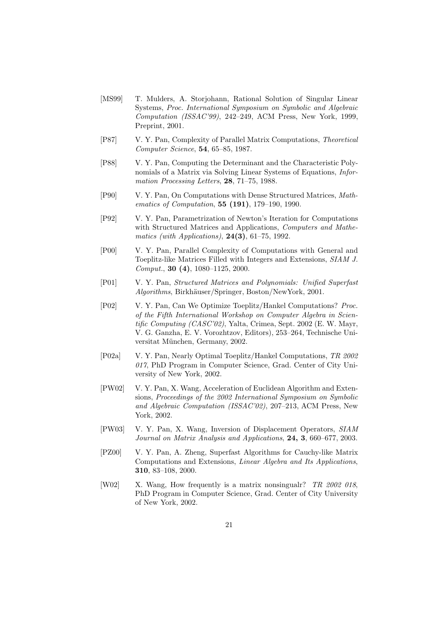- [MS99] T. Mulders, A. Storjohann, Rational Solution of Singular Linear Systems, *Proc. International Symposium on Symbolic and Algebraic Computation (ISSAC'99)*, 242–249, ACM Press, New York, 1999, Preprint, 2001.
- [P87] V. Y. Pan, Complexity of Parallel Matrix Computations, *Theoretical Computer Science*, **54**, 65–85, 1987.
- [P88] V. Y. Pan, Computing the Determinant and the Characteristic Polynomials of a Matrix via Solving Linear Systems of Equations, *Information Processing Letters*, **28**, 71–75, 1988.
- [P90] V. Y. Pan, On Computations with Dense Structured Matrices, *Mathematics of Computation*, **55 (191)**, 179–190, 1990.
- [P92] V. Y. Pan, Parametrization of Newton's Iteration for Computations with Structured Matrices and Applications, *Computers and Mathematics (with Applications)*, **24(3)**, 61–75, 1992.
- [P00] V. Y. Pan, Parallel Complexity of Computations with General and Toeplitz-like Matrices Filled with Integers and Extensions, *SIAM J. Comput.*, **30 (4)**, 1080–1125, 2000.
- [P01] V. Y. Pan, *Structured Matrices and Polynomials: Unified Superfast Algorithms*, Birkh¨auser/Springer, Boston/NewYork, 2001.
- [P02] V. Y. Pan, Can We Optimize Toeplitz/Hankel Computations? *Proc. of the Fifth International Workshop on Computer Algebra in Scientific Computing (CASC'02)*, Yalta, Crimea, Sept. 2002 (E. W. Mayr, V. G. Ganzha, E. V. Vorozhtzov, Editors), 253–264, Technische Universitat München, Germany, 2002.
- [P02a] V. Y. Pan, Nearly Optimal Toeplitz/Hankel Computations, *TR 2002 017*, PhD Program in Computer Science, Grad. Center of City University of New York, 2002.
- [PW02] V. Y. Pan, X. Wang, Acceleration of Euclidean Algorithm and Extensions, *Proceedings of the 2002 International Symposium on Symbolic and Algebraic Computation (ISSAC'02)*, 207–213, ACM Press, New York, 2002.
- [PW03] V. Y. Pan, X. Wang, Inversion of Displacement Operators, *SIAM Journal on Matrix Analysis and Applications*, **24, 3**, 660–677, 2003.
- [PZ00] V. Y. Pan, A. Zheng, Superfast Algorithms for Cauchy-like Matrix Computations and Extensions, *Linear Algebra and Its Applications*, **310**, 83–108, 2000.
- [W02] X. Wang, How frequently is a matrix nonsingualr? *TR 2002 018*, PhD Program in Computer Science, Grad. Center of City University of New York, 2002.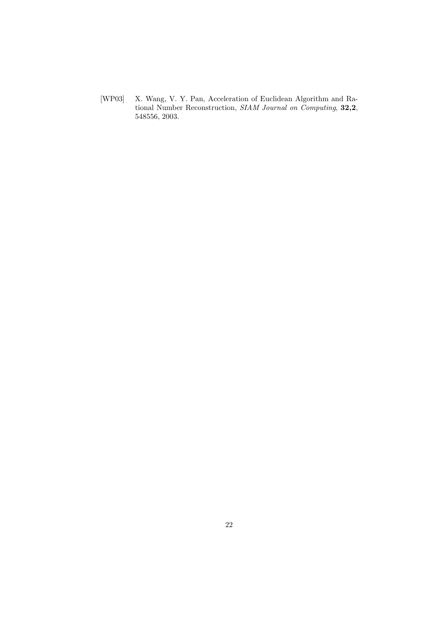[WP03] X. Wang, V. Y. Pan, Acceleration of Euclidean Algorithm and Rational Number Reconstruction, *SIAM Journal on Computing*, **32,2**, 548556, 2003.